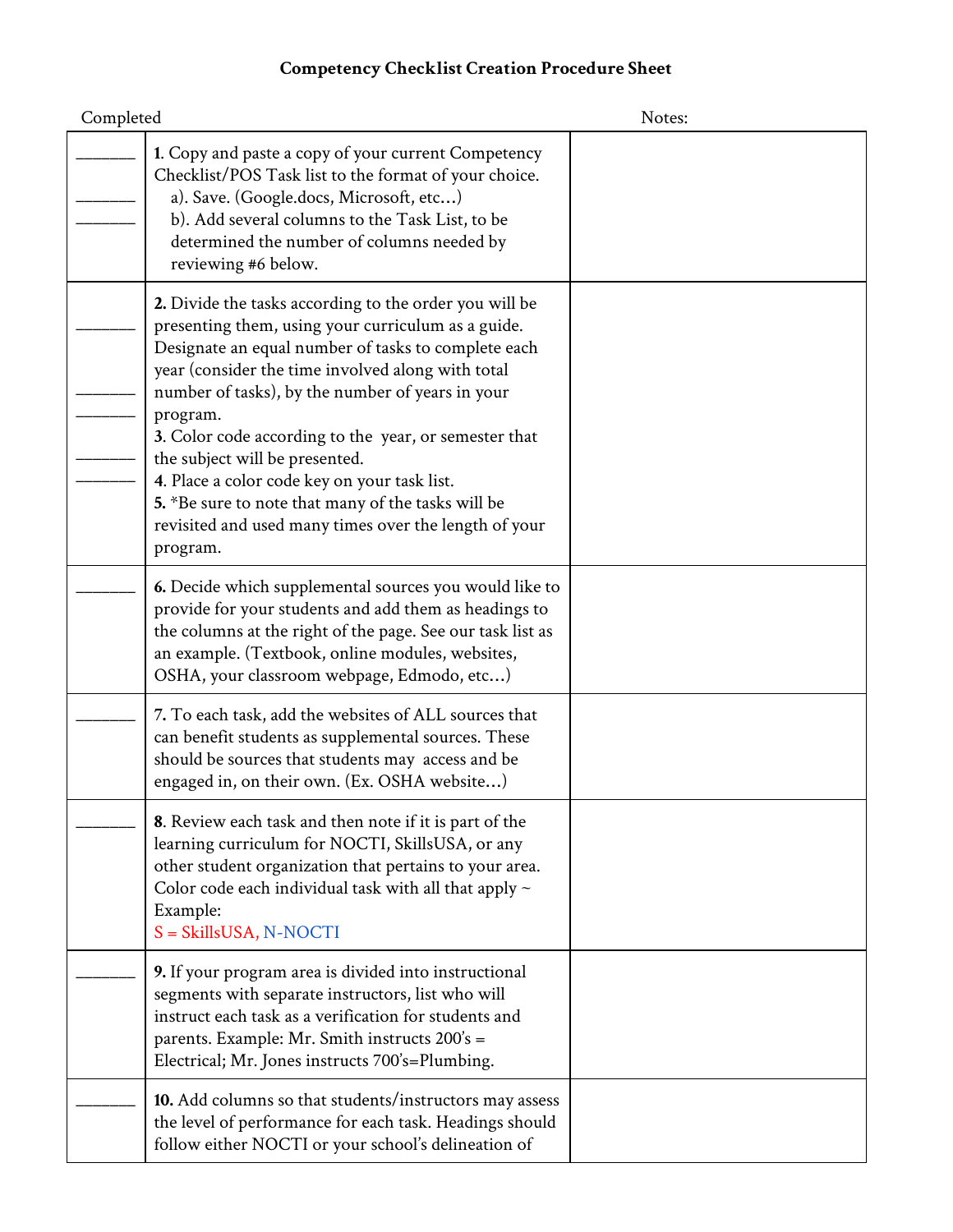## **Competency Checklist Creation Procedure Sheet**

| Completed |                                                                                                                                                                                                                                                                                                                                                                                                                                                                                                                                                                | Notes: |
|-----------|----------------------------------------------------------------------------------------------------------------------------------------------------------------------------------------------------------------------------------------------------------------------------------------------------------------------------------------------------------------------------------------------------------------------------------------------------------------------------------------------------------------------------------------------------------------|--------|
|           | 1. Copy and paste a copy of your current Competency<br>Checklist/POS Task list to the format of your choice.<br>a). Save. (Google.docs, Microsoft, etc)<br>b). Add several columns to the Task List, to be<br>determined the number of columns needed by<br>reviewing #6 below.                                                                                                                                                                                                                                                                                |        |
|           | 2. Divide the tasks according to the order you will be<br>presenting them, using your curriculum as a guide.<br>Designate an equal number of tasks to complete each<br>year (consider the time involved along with total<br>number of tasks), by the number of years in your<br>program.<br>3. Color code according to the year, or semester that<br>the subject will be presented.<br>4. Place a color code key on your task list.<br>5. *Be sure to note that many of the tasks will be<br>revisited and used many times over the length of your<br>program. |        |
|           | 6. Decide which supplemental sources you would like to<br>provide for your students and add them as headings to<br>the columns at the right of the page. See our task list as<br>an example. (Textbook, online modules, websites,<br>OSHA, your classroom webpage, Edmodo, etc)                                                                                                                                                                                                                                                                                |        |
|           | 7. To each task, add the websites of ALL sources that<br>can benefit students as supplemental sources. These<br>should be sources that students may access and be<br>engaged in, on their own. (Ex. OSHA website)                                                                                                                                                                                                                                                                                                                                              |        |
|           | 8. Review each task and then note if it is part of the<br>learning curriculum for NOCTI, SkillsUSA, or any<br>other student organization that pertains to your area.<br>Color code each individual task with all that apply $\sim$<br>Example:<br>S = SkillsUSA, N-NOCTI                                                                                                                                                                                                                                                                                       |        |
|           | 9. If your program area is divided into instructional<br>segments with separate instructors, list who will<br>instruct each task as a verification for students and<br>parents. Example: Mr. Smith instructs 200's =<br>Electrical; Mr. Jones instructs 700's=Plumbing.                                                                                                                                                                                                                                                                                        |        |
|           | 10. Add columns so that students/instructors may assess<br>the level of performance for each task. Headings should<br>follow either NOCTI or your school's delineation of                                                                                                                                                                                                                                                                                                                                                                                      |        |